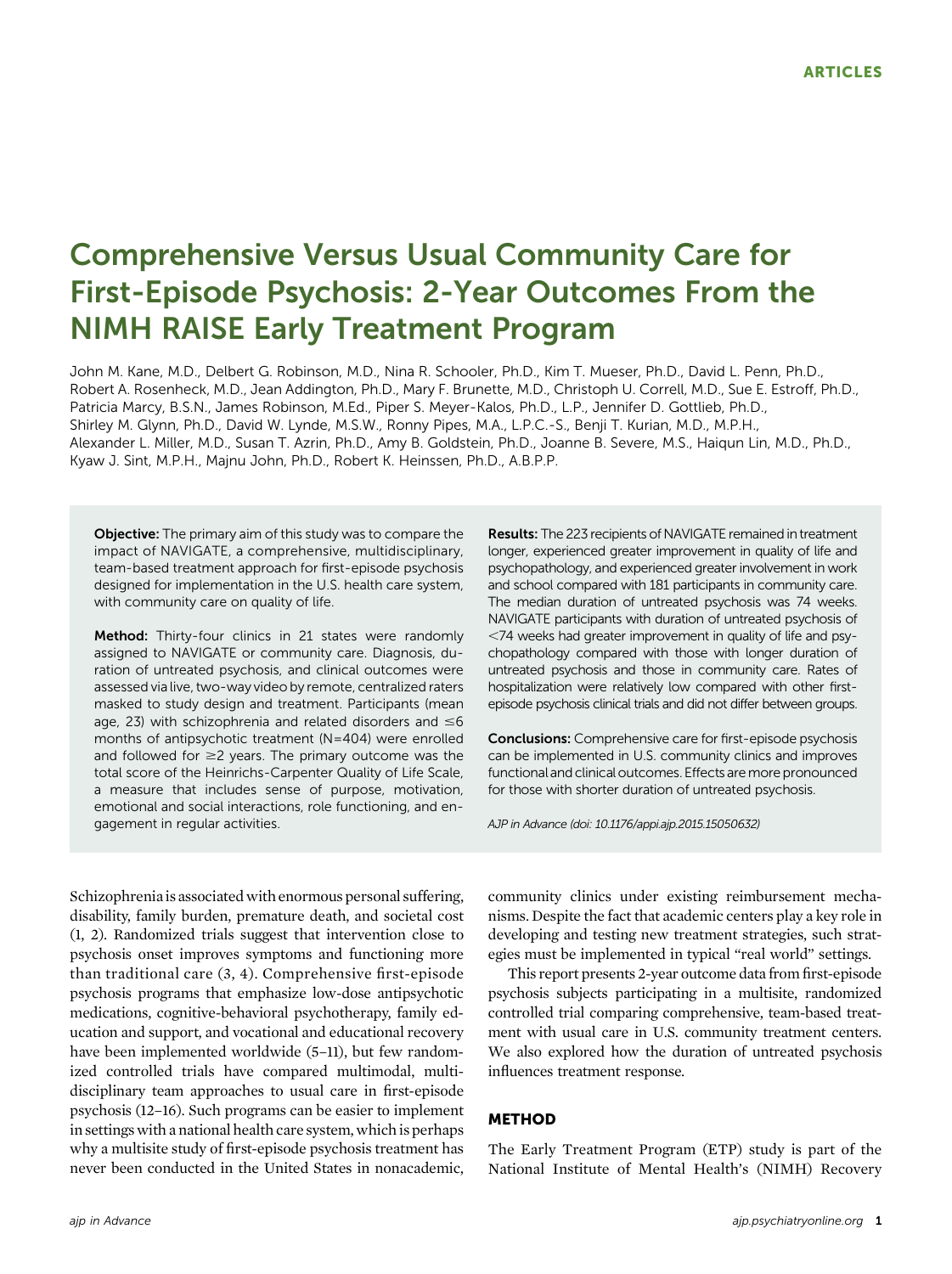# Comprehensive Versus Usual Community Care for First-Episode Psychosis: 2-Year Outcomes From the NIMH RAISE Early Treatment Program

John M. Kane, M.D., Delbert G. Robinson, M.D., Nina R. Schooler, Ph.D., Kim T. Mueser, Ph.D., David L. Penn, Ph.D., Robert A. Rosenheck, M.D., Jean Addington, Ph.D., Mary F. Brunette, M.D., Christoph U. Correll, M.D., Sue E. Estroff, Ph.D., Patricia Marcy, B.S.N., James Robinson, M.Ed., Piper S. Meyer-Kalos, Ph.D., L.P., Jennifer D. Gottlieb, Ph.D., Shirley M. Glynn, Ph.D., David W. Lynde, M.S.W., Ronny Pipes, M.A., L.P.C.-S., Benji T. Kurian, M.D., M.P.H., Alexander L. Miller, M.D., Susan T. Azrin, Ph.D., Amy B. Goldstein, Ph.D., Joanne B. Severe, M.S., Haiqun Lin, M.D., Ph.D., Kyaw J. Sint, M.P.H., Majnu John, Ph.D., Robert K. Heinssen, Ph.D., A.B.P.P.

**Objective:** The primary aim of this study was to compare the impact of NAVIGATE, a comprehensive, multidisciplinary, team-based treatment approach for first-episode psychosis designed for implementation in the U.S. health care system, with community care on quality of life.

Method: Thirty-four clinics in 21 states were randomly assigned to NAVIGATE or community care. Diagnosis, duration of untreated psychosis, and clinical outcomes were assessed via live, two-way video by remote, centralized raters masked to study design and treatment. Participants (mean age, 23) with schizophrenia and related disorders and  $\leq 6$ months of antipsychotic treatment (N=404) were enrolled and followed for  $\geq$  years. The primary outcome was the total score of the Heinrichs-Carpenter Quality of Life Scale, a measure that includes sense of purpose, motivation, emotional and social interactions, role functioning, and engagement in regular activities.

Results: The 223 recipients of NAVIGATE remained in treatment longer, experienced greater improvement in quality of life and psychopathology, and experienced greater involvement in work and school compared with 181 participants in community care. The median duration of untreated psychosis was 74 weeks. NAVIGATE participants with duration of untreated psychosis of  $<$  74 weeks had greater improvement in quality of life and psychopathology compared with those with longer duration of untreated psychosis and those in community care. Rates of hospitalization were relatively low compared with other firstepisode psychosis clinical trials and did not differ between groups.

Conclusions: Comprehensive care for first-episode psychosis can be implemented in U.S. community clinics and improves functional and clinical outcomes. Effects aremore pronounced for those with shorter duration of untreated psychosis.

AJP in Advance (doi: 10.1176/appi.ajp.2015.15050632)

Schizophrenia is associated with enormous personal suffering, disability, family burden, premature death, and societal cost (1, 2). Randomized trials suggest that intervention close to psychosis onset improves symptoms and functioning more than traditional care (3, 4). Comprehensive first-episode psychosis programs that emphasize low-dose antipsychotic medications, cognitive-behavioral psychotherapy, family education and support, and vocational and educational recovery have been implemented worldwide (5–11), but few randomized controlled trials have compared multimodal, multidisciplinary team approaches to usual care in first-episode psychosis (12–16). Such programs can be easier to implement in settings with a national health care system, which is perhaps why a multisite study of first-episode psychosis treatment has never been conducted in the United States in nonacademic, community clinics under existing reimbursement mechanisms. Despite the fact that academic centers play a key role in developing and testing new treatment strategies, such strategies must be implemented in typical "real world" settings.

This report presents 2-year outcome data from first-episode psychosis subjects participating in a multisite, randomized controlled trial comparing comprehensive, team-based treatment with usual care in U.S. community treatment centers. We also explored how the duration of untreated psychosis influences treatment response.

## METHOD

The Early Treatment Program (ETP) study is part of the National Institute of Mental Health's (NIMH) Recovery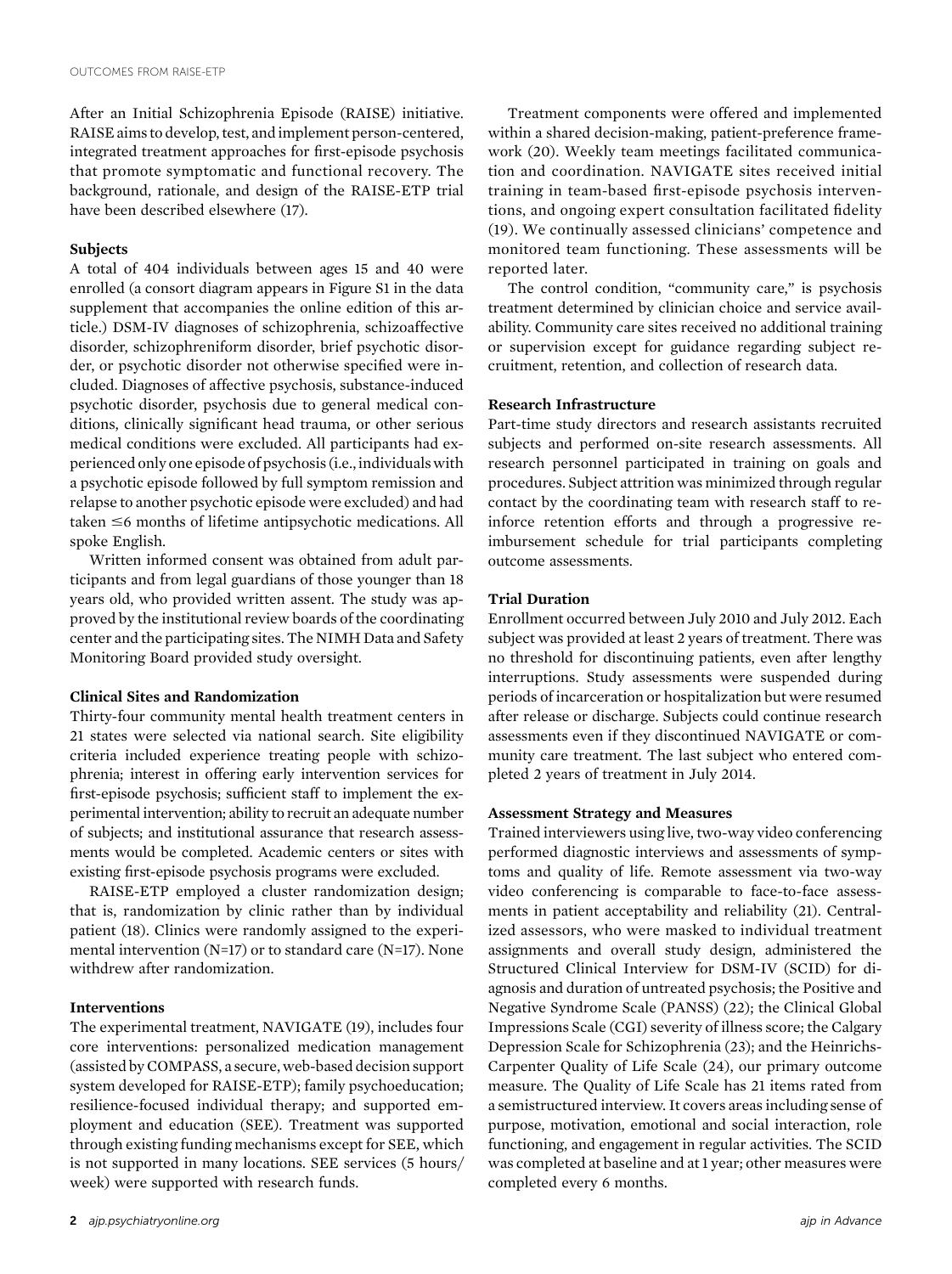After an Initial Schizophrenia Episode (RAISE) initiative. RAISE aims to develop, test, and implement person-centered, integrated treatment approaches for first-episode psychosis that promote symptomatic and functional recovery. The background, rationale, and design of the RAISE-ETP trial have been described elsewhere (17).

# Subjects

A total of 404 individuals between ages 15 and 40 were enrolled (a consort diagram appears in Figure S1 in the data supplement that accompanies the online edition of this article.) DSM-IV diagnoses of schizophrenia, schizoaffective disorder, schizophreniform disorder, brief psychotic disorder, or psychotic disorder not otherwise specified were included. Diagnoses of affective psychosis, substance-induced psychotic disorder, psychosis due to general medical conditions, clinically significant head trauma, or other serious medical conditions were excluded. All participants had experienced only one episode of psychosis (i.e., individuals with a psychotic episode followed by full symptom remission and relapse to another psychotic episode were excluded) and had  $taken \leq 6$  months of lifetime antipsychotic medications. All spoke English.

Written informed consent was obtained from adult participants and from legal guardians of those younger than 18 years old, who provided written assent. The study was approved by the institutional review boards of the coordinating center and the participating sites. The NIMH Data and Safety Monitoring Board provided study oversight.

# Clinical Sites and Randomization

Thirty-four community mental health treatment centers in 21 states were selected via national search. Site eligibility criteria included experience treating people with schizophrenia; interest in offering early intervention services for first-episode psychosis; sufficient staff to implement the experimental intervention; ability to recruit an adequate number of subjects; and institutional assurance that research assessments would be completed. Academic centers or sites with existing first-episode psychosis programs were excluded.

RAISE-ETP employed a cluster randomization design; that is, randomization by clinic rather than by individual patient (18). Clinics were randomly assigned to the experimental intervention (N=17) or to standard care (N=17). None withdrew after randomization.

# Interventions

The experimental treatment, NAVIGATE (19), includes four core interventions: personalized medication management (assisted by COMPASS, a secure, web-based decision support system developed for RAISE-ETP); family psychoeducation; resilience-focused individual therapy; and supported employment and education (SEE). Treatment was supported through existing funding mechanisms except for SEE, which is not supported in many locations. SEE services (5 hours/ week) were supported with research funds.

Treatment components were offered and implemented within a shared decision-making, patient-preference framework (20). Weekly team meetings facilitated communication and coordination. NAVIGATE sites received initial training in team-based first-episode psychosis interventions, and ongoing expert consultation facilitated fidelity (19). We continually assessed clinicians' competence and monitored team functioning. These assessments will be reported later.

The control condition, "community care," is psychosis treatment determined by clinician choice and service availability. Community care sites received no additional training or supervision except for guidance regarding subject recruitment, retention, and collection of research data.

# Research Infrastructure

Part-time study directors and research assistants recruited subjects and performed on-site research assessments. All research personnel participated in training on goals and procedures. Subject attrition was minimized through regular contact by the coordinating team with research staff to reinforce retention efforts and through a progressive reimbursement schedule for trial participants completing outcome assessments.

# Trial Duration

Enrollment occurred between July 2010 and July 2012. Each subject was provided at least 2 years of treatment. There was no threshold for discontinuing patients, even after lengthy interruptions. Study assessments were suspended during periods of incarceration or hospitalization but were resumed after release or discharge. Subjects could continue research assessments even if they discontinued NAVIGATE or community care treatment. The last subject who entered completed 2 years of treatment in July 2014.

# Assessment Strategy and Measures

Trained interviewers using live, two-way video conferencing performed diagnostic interviews and assessments of symptoms and quality of life. Remote assessment via two-way video conferencing is comparable to face-to-face assessments in patient acceptability and reliability (21). Centralized assessors, who were masked to individual treatment assignments and overall study design, administered the Structured Clinical Interview for DSM-IV (SCID) for diagnosis and duration of untreated psychosis; the Positive and Negative Syndrome Scale (PANSS) (22); the Clinical Global Impressions Scale (CGI) severity of illness score; the Calgary Depression Scale for Schizophrenia (23); and the Heinrichs-Carpenter Quality of Life Scale (24), our primary outcome measure. The Quality of Life Scale has 21 items rated from a semistructured interview. It covers areas including sense of purpose, motivation, emotional and social interaction, role functioning, and engagement in regular activities. The SCID was completed at baseline and at 1 year; other measures were completed every 6 months.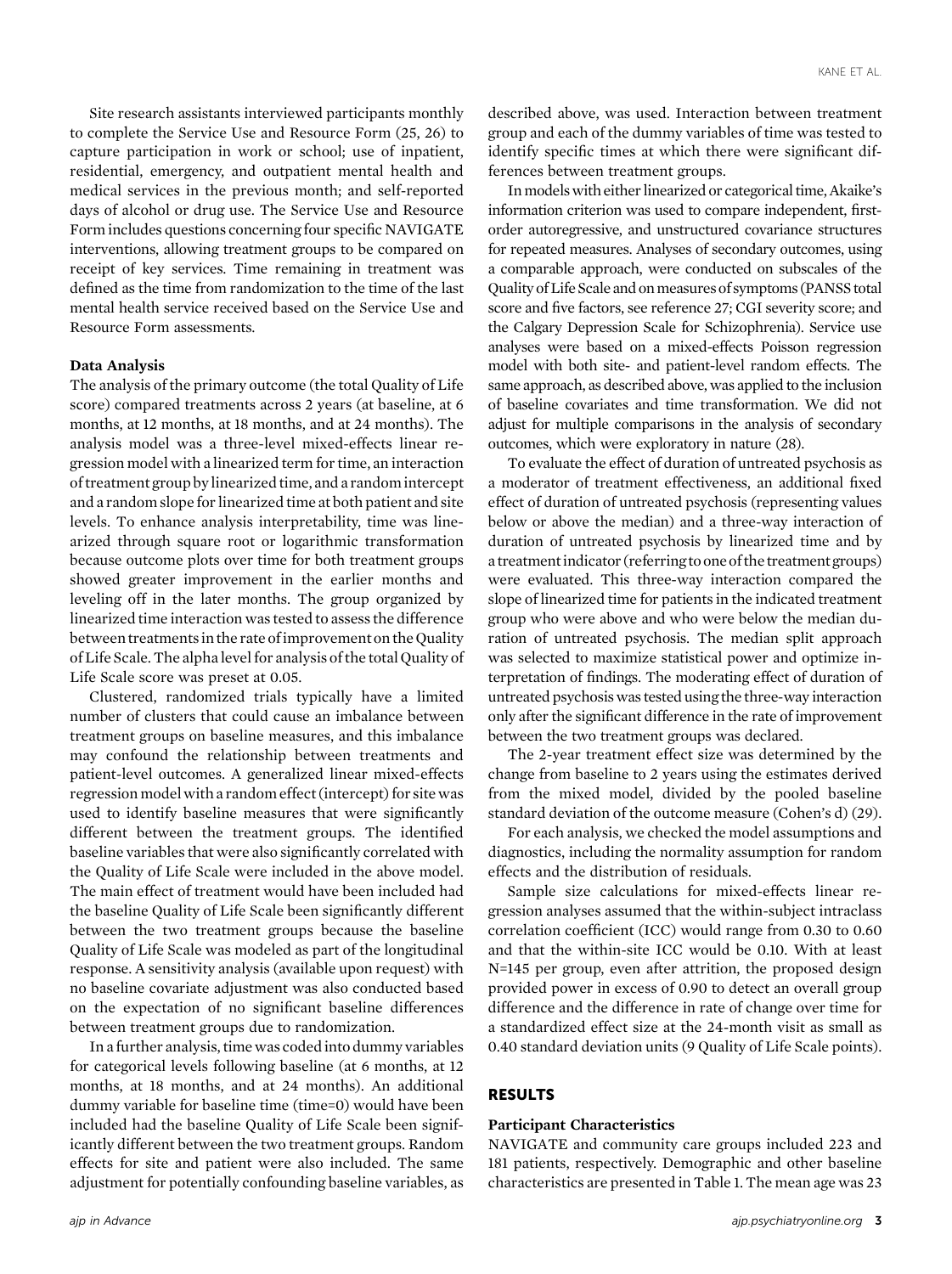Site research assistants interviewed participants monthly to complete the Service Use and Resource Form (25, 26) to capture participation in work or school; use of inpatient, residential, emergency, and outpatient mental health and medical services in the previous month; and self-reported days of alcohol or drug use. The Service Use and Resource Form includes questions concerning four specific NAVIGATE interventions, allowing treatment groups to be compared on receipt of key services. Time remaining in treatment was defined as the time from randomization to the time of the last mental health service received based on the Service Use and Resource Form assessments.

#### Data Analysis

The analysis of the primary outcome (the total Quality of Life score) compared treatments across 2 years (at baseline, at 6 months, at 12 months, at 18 months, and at 24 months). The analysis model was a three-level mixed-effects linear regression model with a linearized term for time, an interaction of treatment group by linearized time, and a random intercept and a random slope for linearized time at both patient and site levels. To enhance analysis interpretability, time was linearized through square root or logarithmic transformation because outcome plots over time for both treatment groups showed greater improvement in the earlier months and leveling off in the later months. The group organized by linearized time interaction was tested to assess the difference between treatmentsin the rate ofimprovement on the Quality of Life Scale. The alpha level for analysis of the total Quality of Life Scale score was preset at 0.05.

Clustered, randomized trials typically have a limited number of clusters that could cause an imbalance between treatment groups on baseline measures, and this imbalance may confound the relationship between treatments and patient-level outcomes. A generalized linear mixed-effects regression model with a random effect (intercept) for site was used to identify baseline measures that were significantly different between the treatment groups. The identified baseline variables that were also significantly correlated with the Quality of Life Scale were included in the above model. The main effect of treatment would have been included had the baseline Quality of Life Scale been significantly different between the two treatment groups because the baseline Quality of Life Scale was modeled as part of the longitudinal response. A sensitivity analysis (available upon request) with no baseline covariate adjustment was also conducted based on the expectation of no significant baseline differences between treatment groups due to randomization.

In a further analysis, time was coded into dummy variables for categorical levels following baseline (at 6 months, at 12 months, at 18 months, and at 24 months). An additional dummy variable for baseline time (time=0) would have been included had the baseline Quality of Life Scale been significantly different between the two treatment groups. Random effects for site and patient were also included. The same adjustment for potentially confounding baseline variables, as

described above, was used. Interaction between treatment group and each of the dummy variables of time was tested to identify specific times at which there were significant differences between treatment groups.

In models with either linearized or categorical time, Akaike's information criterion was used to compare independent, firstorder autoregressive, and unstructured covariance structures for repeated measures. Analyses of secondary outcomes, using a comparable approach, were conducted on subscales of the Quality of Life Scale and onmeasures of symptoms (PANSS total score and five factors, see reference 27; CGI severity score; and the Calgary Depression Scale for Schizophrenia). Service use analyses were based on a mixed-effects Poisson regression model with both site- and patient-level random effects. The same approach, as described above, was applied to the inclusion of baseline covariates and time transformation. We did not adjust for multiple comparisons in the analysis of secondary outcomes, which were exploratory in nature (28).

To evaluate the effect of duration of untreated psychosis as a moderator of treatment effectiveness, an additional fixed effect of duration of untreated psychosis (representing values below or above the median) and a three-way interaction of duration of untreated psychosis by linearized time and by a treatment indicator (referring to one of the treatment groups) were evaluated. This three-way interaction compared the slope of linearized time for patients in the indicated treatment group who were above and who were below the median duration of untreated psychosis. The median split approach was selected to maximize statistical power and optimize interpretation of findings. The moderating effect of duration of untreated psychosis was tested using the three-way interaction only after the significant difference in the rate of improvement between the two treatment groups was declared.

The 2-year treatment effect size was determined by the change from baseline to 2 years using the estimates derived from the mixed model, divided by the pooled baseline standard deviation of the outcome measure (Cohen's d) (29).

For each analysis, we checked the model assumptions and diagnostics, including the normality assumption for random effects and the distribution of residuals.

Sample size calculations for mixed-effects linear regression analyses assumed that the within-subject intraclass correlation coefficient (ICC) would range from 0.30 to 0.60 and that the within-site ICC would be 0.10. With at least N=145 per group, even after attrition, the proposed design provided power in excess of 0.90 to detect an overall group difference and the difference in rate of change over time for a standardized effect size at the 24-month visit as small as 0.40 standard deviation units (9 Quality of Life Scale points).

#### RESULTS

## Participant Characteristics

NAVIGATE and community care groups included 223 and 181 patients, respectively. Demographic and other baseline characteristics are presented in Table 1. The mean age was 23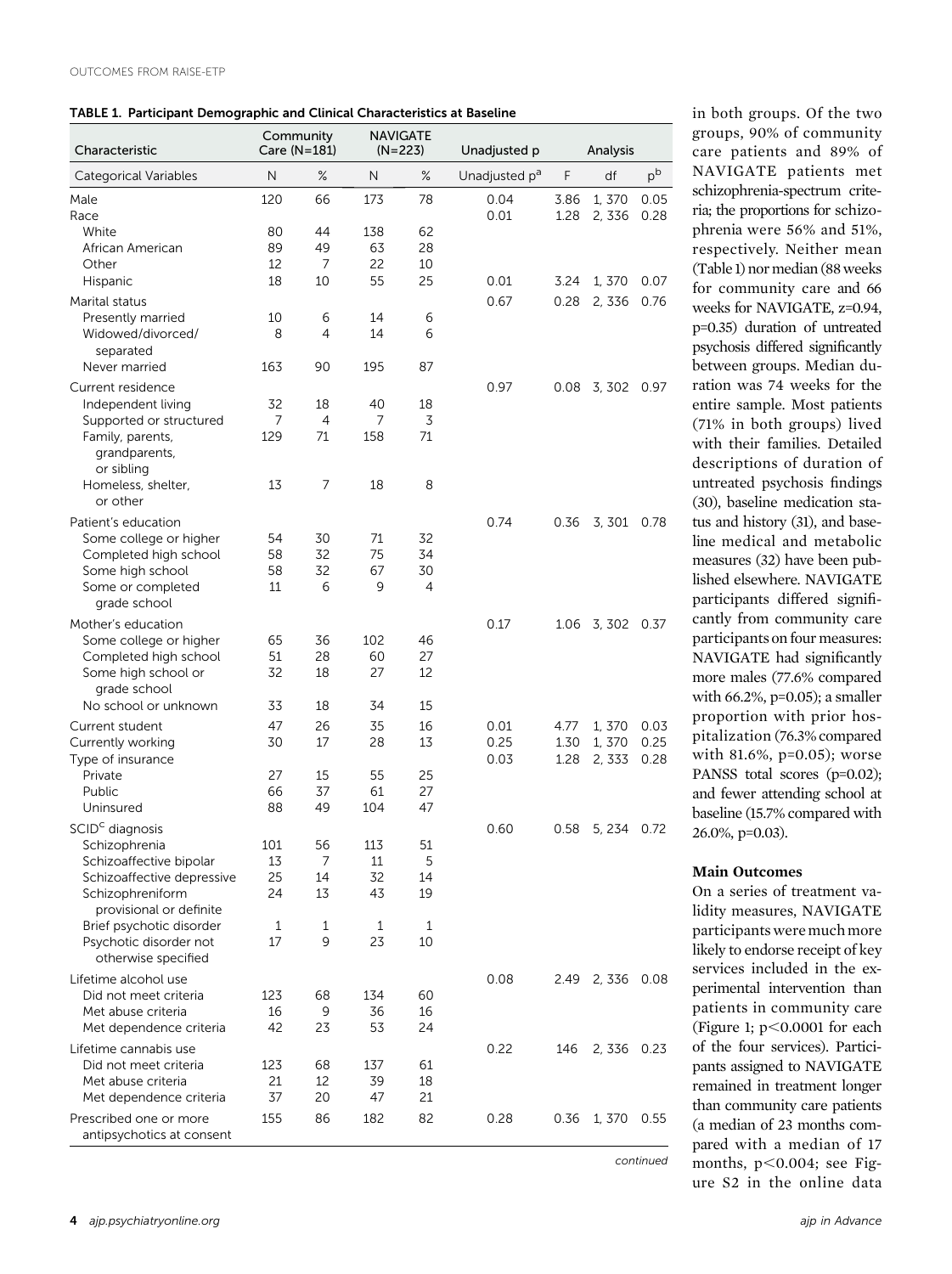#### TABLE 1. Participant Demographic and Clinical Characteristics at Baseline

| Characteristic                                        |          | Community<br>Care (N=181) | <b>NAVIGATE</b><br>$(N=223)$ |                      | Unadjusted p              | Analysis |                    |       |
|-------------------------------------------------------|----------|---------------------------|------------------------------|----------------------|---------------------------|----------|--------------------|-------|
| <b>Categorical Variables</b>                          | N        | $\%$                      | N                            | $\%$                 | Unadjusted p <sup>a</sup> | F        | df                 | $p^b$ |
| Male                                                  | 120      | 66                        | 173                          | 78                   | 0.04                      | 3.86     | 1,370              | 0.05  |
| Race                                                  |          |                           |                              |                      | 0.01                      | 1.28     | 2,336              | 0.28  |
| White                                                 | 80       | 44                        | 138                          | 62                   |                           |          |                    |       |
| African American                                      | 89       | 49                        | 63                           | 28                   |                           |          |                    |       |
| Other<br>Hispanic                                     | 12<br>18 | 7<br>10                   | 22<br>55                     | 10<br>25             | 0.01                      | 3.24     | 1, 370             | 0.07  |
|                                                       |          |                           |                              |                      |                           |          |                    |       |
| Marital status                                        |          |                           |                              |                      | 0.67                      | 0.28     | 2,336              | 0.76  |
| Presently married<br>Widowed/divorced/                | 10<br>8  | 6<br>4                    | 14<br>14                     | 6<br>6               |                           |          |                    |       |
| separated                                             |          |                           |                              |                      |                           |          |                    |       |
| Never married                                         | 163      | 90                        | 195                          | 87                   |                           |          |                    |       |
| Current residence                                     |          |                           |                              |                      | 0.97                      |          | $0.08$ 3, 302 0.97 |       |
| Independent living                                    | 32       | 18                        | 40                           | 18                   |                           |          |                    |       |
| Supported or structured                               | 7        | 4                         | 7                            | 3                    |                           |          |                    |       |
| Family, parents,                                      | 129      | 71                        | 158                          | 71                   |                           |          |                    |       |
| grandparents,                                         |          |                           |                              |                      |                           |          |                    |       |
| or sibling                                            |          |                           |                              |                      |                           |          |                    |       |
| Homeless, shelter,                                    | 13       | 7                         | 18                           | 8                    |                           |          |                    |       |
| or other                                              |          |                           |                              |                      |                           |          |                    |       |
| Patient's education                                   |          |                           |                              |                      | 0.74                      | 0.36     | 3, 301             | 0.78  |
| Some college or higher                                | 54       | 30                        | 71                           | 32                   |                           |          |                    |       |
| Completed high school                                 | 58       | 32                        | 75                           | 34                   |                           |          |                    |       |
| Some high school                                      | 58       | 32<br>6                   | 67<br>9                      | 30<br>$\overline{4}$ |                           |          |                    |       |
| Some or completed<br>grade school                     | 11       |                           |                              |                      |                           |          |                    |       |
| Mother's education                                    |          |                           |                              |                      | 0.17                      | 1.06     | 3, 302 0.37        |       |
| Some college or higher                                | 65       | 36                        | 102                          | 46                   |                           |          |                    |       |
| Completed high school                                 | 51       | 28                        | 60                           | 27                   |                           |          |                    |       |
| Some high school or                                   | 32       | 18                        | 27                           | 12                   |                           |          |                    |       |
| grade school                                          |          |                           |                              |                      |                           |          |                    |       |
| No school or unknown                                  | 33       | 18                        | 34                           | 15                   |                           |          |                    |       |
| Current student                                       | 47       | 26                        | 35                           | 16                   | 0.01                      | 4.77     | 1, 370             | 0.03  |
| Currently working                                     | 30       | 17                        | 28                           | 13                   | 0.25                      | 1.30     | 1, 370             | 0.25  |
| Type of insurance                                     |          |                           |                              |                      | 0.03                      | 1.28     | 2,333              | 0.28  |
| Private                                               | 27       | 15                        | 55                           | 25                   |                           |          |                    |       |
| Public<br>Uninsured                                   | 66       | 37                        | 61                           | 27                   |                           |          |                    |       |
|                                                       | 88       | 49                        | 104                          | 47                   |                           |          |                    |       |
| SCID <sup>c</sup> diagnosis                           |          |                           |                              |                      | 0.60                      | 0.58     | 5, 234             | 0.72  |
| Schizophrenia                                         | 101      | 56                        | 113                          | 51                   |                           |          |                    |       |
| Schizoaffective bipolar<br>Schizoaffective depressive | 13<br>25 | $\prime$<br>14            | 11<br>32                     | 5<br>14              |                           |          |                    |       |
| Schizophreniform                                      | 24       | 13                        | 43                           | 19                   |                           |          |                    |       |
| provisional or definite                               |          |                           |                              |                      |                           |          |                    |       |
| Brief psychotic disorder                              | 1        | 1                         | 1                            | 1                    |                           |          |                    |       |
| Psychotic disorder not                                | 17       | 9                         | 23                           | 10                   |                           |          |                    |       |
| otherwise specified                                   |          |                           |                              |                      |                           |          |                    |       |
| Lifetime alcohol use                                  |          |                           |                              |                      | 0.08                      | 2.49     | 2,336 0.08         |       |
| Did not meet criteria                                 | 123      | 68                        | 134                          | 60                   |                           |          |                    |       |
| Met abuse criteria                                    | 16       | 9                         | 36                           | 16                   |                           |          |                    |       |
| Met dependence criteria                               | 42       | 23                        | 53                           | 24                   |                           |          |                    |       |
| Lifetime cannabis use                                 |          |                           |                              |                      | 0.22                      | 146      | 2,336 0.23         |       |
| Did not meet criteria                                 | 123      | 68                        | 137                          | 61                   |                           |          |                    |       |
| Met abuse criteria                                    | 21       | 12                        | 39                           | 18                   |                           |          |                    |       |
| Met dependence criteria                               | 37       | 20                        | 47                           | 21                   |                           |          |                    |       |
| Prescribed one or more<br>antipsychotics at consent   | 155      | 86                        | 182                          | 82                   | 0.28                      | 0.36     | 1, 370             | 0.55  |

in both groups. Of the two groups, 90% of community care patients and 89% of NAVIGATE patients met schizophrenia-spectrum criteria; the proportions for schizophrenia were 56% and 51%, respectively. Neither mean (Table 1) nor median (88 weeks for community care and 66 weeks for NAVIGATE, z=0.94, p=0.35) duration of untreated psychosis differed significantly between groups. Median duration was 74 weeks for the entire sample. Most patients (71% in both groups) lived with their families. Detailed descriptions of duration of untreated psychosis findings (30), baseline medication status and history (31), and baseline medical and metabolic measures (32) have been published elsewhere. NAVIGATE participants differed significantly from community care participants on four measures: NAVIGATE had significantly more males (77.6% compared with 66.2%, p=0.05); a smaller proportion with prior hospitalization (76.3% compared with 81.6%, p=0.05); worse PANSS total scores (p=0.02); and fewer attending school at baseline (15.7% compared with 26.0%, p=0.03).

## Main Outcomes

On a series of treatment validity measures, NAVIGATE participants were much more likely to endorse receipt of key services included in the experimental intervention than patients in community care (Figure 1;  $p<0.0001$  for each of the four services). Participants assigned to NAVIGATE remained in treatment longer than community care patients (a median of 23 months compared with a median of 17 months,  $p<0.004$ ; see Figure S2 in the online data

continued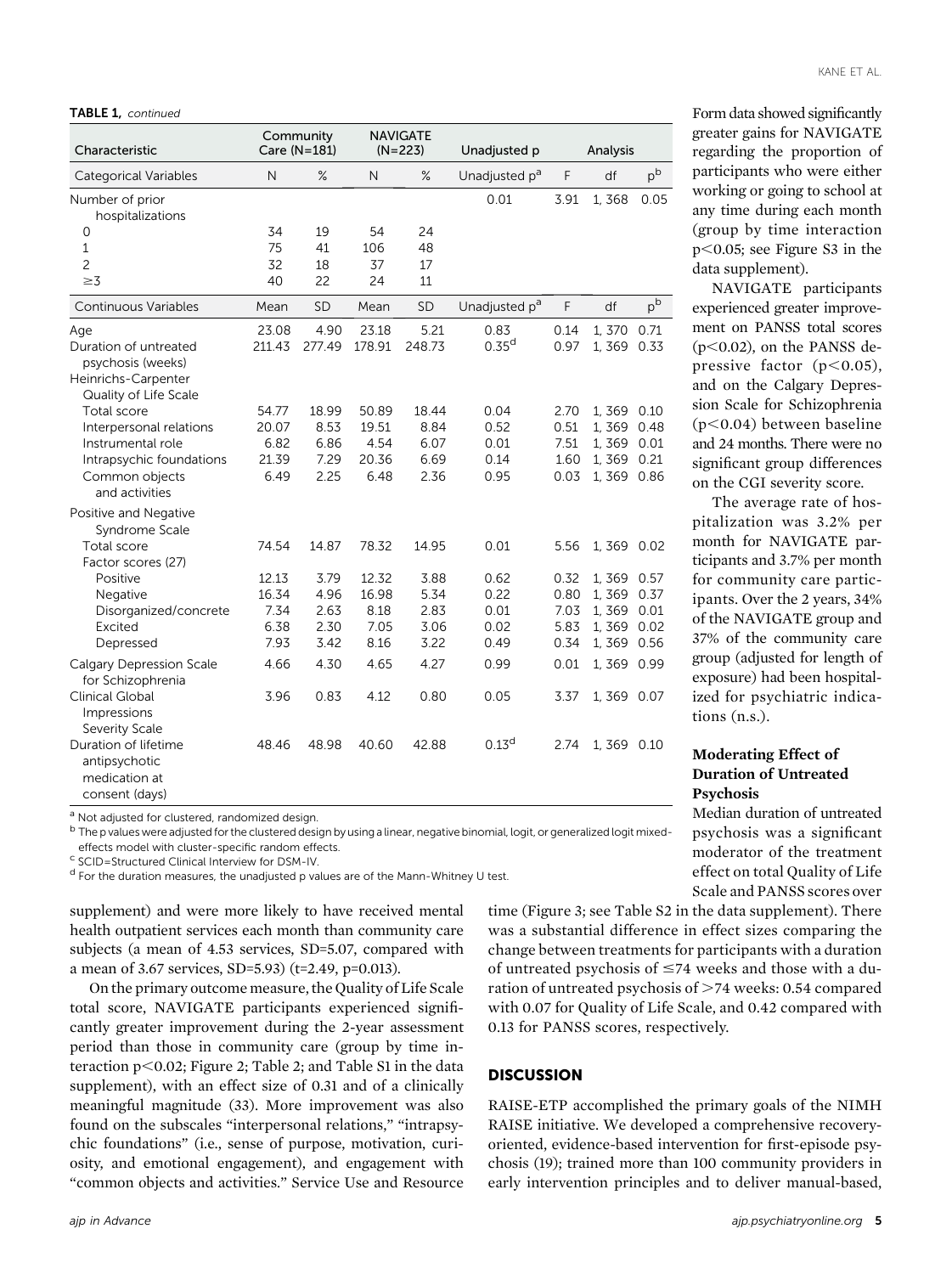#### TABLE 1, continued

| Characteristic                      |                                                             | Community<br>Care (N=181) | <b>NAVIGATE</b><br>$(N=223)$ |           | Unadjusted p              | Analysis |            |                           |
|-------------------------------------|-------------------------------------------------------------|---------------------------|------------------------------|-----------|---------------------------|----------|------------|---------------------------|
| <b>Categorical Variables</b>        | N<br>%<br>$\%$<br>Unadjusted p <sup>a</sup><br>$\mathsf{N}$ |                           | F                            | df        | $p^b$                     |          |            |                           |
| Number of prior<br>hospitalizations |                                                             |                           |                              |           | 0.01                      | 3.91     | 1,368      | 0.05                      |
| 0                                   | 34                                                          | 19                        | 54                           | 24        |                           |          |            |                           |
| $\mathbf{1}$                        | 75                                                          | 41                        | 106                          | 48        |                           |          |            |                           |
| $\overline{c}$                      | 32                                                          | 18                        | 37                           | 17        |                           |          |            |                           |
| $\geq$ 3                            | 40                                                          | 22                        | 24                           | 11        |                           |          |            |                           |
| <b>Continuous Variables</b>         | Mean                                                        | <b>SD</b>                 | Mean                         | <b>SD</b> | Unadjusted p <sup>a</sup> | F        | df         | $\mathsf{p}^{\mathsf{b}}$ |
| Age                                 | 23.08                                                       | 4.90                      | 23.18                        | 5.21      | 0.83                      | 0.14     | 1,370 0.71 |                           |
| Duration of untreated               | 211.43                                                      | 277.49                    | 178.91                       | 248.73    | 0.35 <sup>d</sup>         | 0.97     | 1,369 0.33 |                           |
| psychosis (weeks)                   |                                                             |                           |                              |           |                           |          |            |                           |
| Heinrichs-Carpenter                 |                                                             |                           |                              |           |                           |          |            |                           |
| Quality of Life Scale               |                                                             |                           |                              |           |                           |          |            |                           |
| Total score                         | 54.77                                                       | 18.99                     | 50.89                        | 18.44     | 0.04                      | 2.70     | 1,369 0.10 |                           |
| Interpersonal relations             | 20.07                                                       | 8.53                      | 19.51                        | 8.84      | 0.52                      | 0.51     | 1, 369     | 0.48                      |
| Instrumental role                   | 6.82                                                        | 6.86                      | 4.54                         | 6.07      | 0.01                      | 7.51     | 1,369 0.01 |                           |
| Intrapsychic foundations            | 21.39                                                       | 7.29                      | 20.36                        | 6.69      | 0.14                      | 1.60     | 1,369 0.21 |                           |
| Common objects                      | 6.49                                                        | 2.25                      | 6.48                         | 2.36      | 0.95                      | 0.03     | 1,369 0.86 |                           |
| and activities                      |                                                             |                           |                              |           |                           |          |            |                           |
| Positive and Negative               |                                                             |                           |                              |           |                           |          |            |                           |
| Syndrome Scale                      |                                                             |                           |                              |           |                           |          |            |                           |
| Total score                         | 74.54                                                       | 14.87                     | 78.32                        | 14.95     | 0.01                      | 5.56     | 1,369      | 0.02                      |
| Factor scores (27)                  |                                                             |                           |                              |           |                           |          |            |                           |
| Positive                            | 12.13                                                       | 3.79                      | 12.32                        | 3.88      | 0.62                      | 0.32     | 1,369 0.57 |                           |
| Negative                            | 16.34                                                       | 4.96                      | 16.98                        | 5.34      | 0.22                      | 0.80     | 1,369      | 0.37                      |
| Disorganized/concrete               | 7.34                                                        | 2.63                      | 8.18                         | 2.83      | 0.01                      | 7.03     | 1,369 0.01 |                           |
| Excited                             | 6.38                                                        | 2.30                      | 7.05                         | 3.06      | 0.02                      | 5.83     | 1,369      | 0.02                      |
| Depressed                           | 7.93                                                        | 3.42                      | 8.16                         | 3.22      | 0.49                      | 0.34     | 1,369 0.56 |                           |
| <b>Calgary Depression Scale</b>     | 4.66                                                        | 4.30                      | 4.65                         | 4.27      | 0.99                      | 0.01     | 1,369      | 0.99                      |
| for Schizophrenia                   |                                                             |                           |                              |           |                           |          |            |                           |
| Clinical Global                     | 3.96                                                        | 0.83                      | 4.12                         | 0.80      | 0.05                      | 3.37     | 1,369 0.07 |                           |
| Impressions                         |                                                             |                           |                              |           |                           |          |            |                           |
| Severity Scale                      |                                                             |                           |                              |           |                           |          |            |                           |
| Duration of lifetime                | 48.46                                                       | 48.98                     | 40.60                        | 42.88     | 0.13 <sup>d</sup>         | 2.74     | 1,369 0.10 |                           |
| antipsychotic                       |                                                             |                           |                              |           |                           |          |            |                           |
| medication at                       |                                                             |                           |                              |           |                           |          |            |                           |
| consent (days)                      |                                                             |                           |                              |           |                           |          |            |                           |

a Not adjusted for clustered, randomized design.

b The p values were adjusted for the clustered design by using a linear, negative binomial, logit, or generalized logit mixedeffects model with cluster-specific random effects.<br><sup>c</sup> SCID=Structured Clinical Interview for DSM-IV.

<sup>d</sup> For the duration measures, the unadjusted p values are of the Mann-Whitney U test.

supplement) and were more likely to have received mental health outpatient services each month than community care subjects (a mean of 4.53 services, SD=5.07, compared with a mean of 3.67 services, SD=5.93) (t=2.49, p=0.013).

On the primary outcome measure, the Quality of Life Scale total score, NAVIGATE participants experienced significantly greater improvement during the 2-year assessment period than those in community care (group by time interaction  $p<0.02$ ; Figure 2; Table 2; and Table S1 in the data supplement), with an effect size of 0.31 and of a clinically meaningful magnitude (33). More improvement was also found on the subscales "interpersonal relations," "intrapsychic foundations" (i.e., sense of purpose, motivation, curiosity, and emotional engagement), and engagement with "common objects and activities." Service Use and Resource Form data showed significantly greater gains for NAVIGATE regarding the proportion of participants who were either working or going to school at any time during each month (group by time interaction  $p<0.05$ ; see Figure S3 in the data supplement).

NAVIGATE participants experienced greater improvement on PANSS total scores  $(p<0.02)$ , on the PANSS depressive factor  $(p<0.05)$ , and on the Calgary Depression Scale for Schizophrenia  $(p<0.04)$  between baseline and 24 months. There were no significant group differences on the CGI severity score.

The average rate of hospitalization was 3.2% per month for NAVIGATE participants and 3.7% per month for community care participants. Over the 2 years, 34% of the NAVIGATE group and 37% of the community care group (adjusted for length of exposure) had been hospitalized for psychiatric indications (n.s.).

# Moderating Effect of Duration of Untreated Psychosis

Median duration of untreated psychosis was a significant moderator of the treatment effect on total Quality of Life Scale and PANSS scores over

time (Figure 3; see Table S2 in the data supplement). There was a substantial difference in effect sizes comparing the change between treatments for participants with a duration of untreated psychosis of  $\leq$ 74 weeks and those with a duration of untreated psychosis of  $>74$  weeks: 0.54 compared with 0.07 for Quality of Life Scale, and 0.42 compared with 0.13 for PANSS scores, respectively.

#### **DISCUSSION**

RAISE-ETP accomplished the primary goals of the NIMH RAISE initiative. We developed a comprehensive recoveryoriented, evidence-based intervention for first-episode psychosis (19); trained more than 100 community providers in early intervention principles and to deliver manual-based,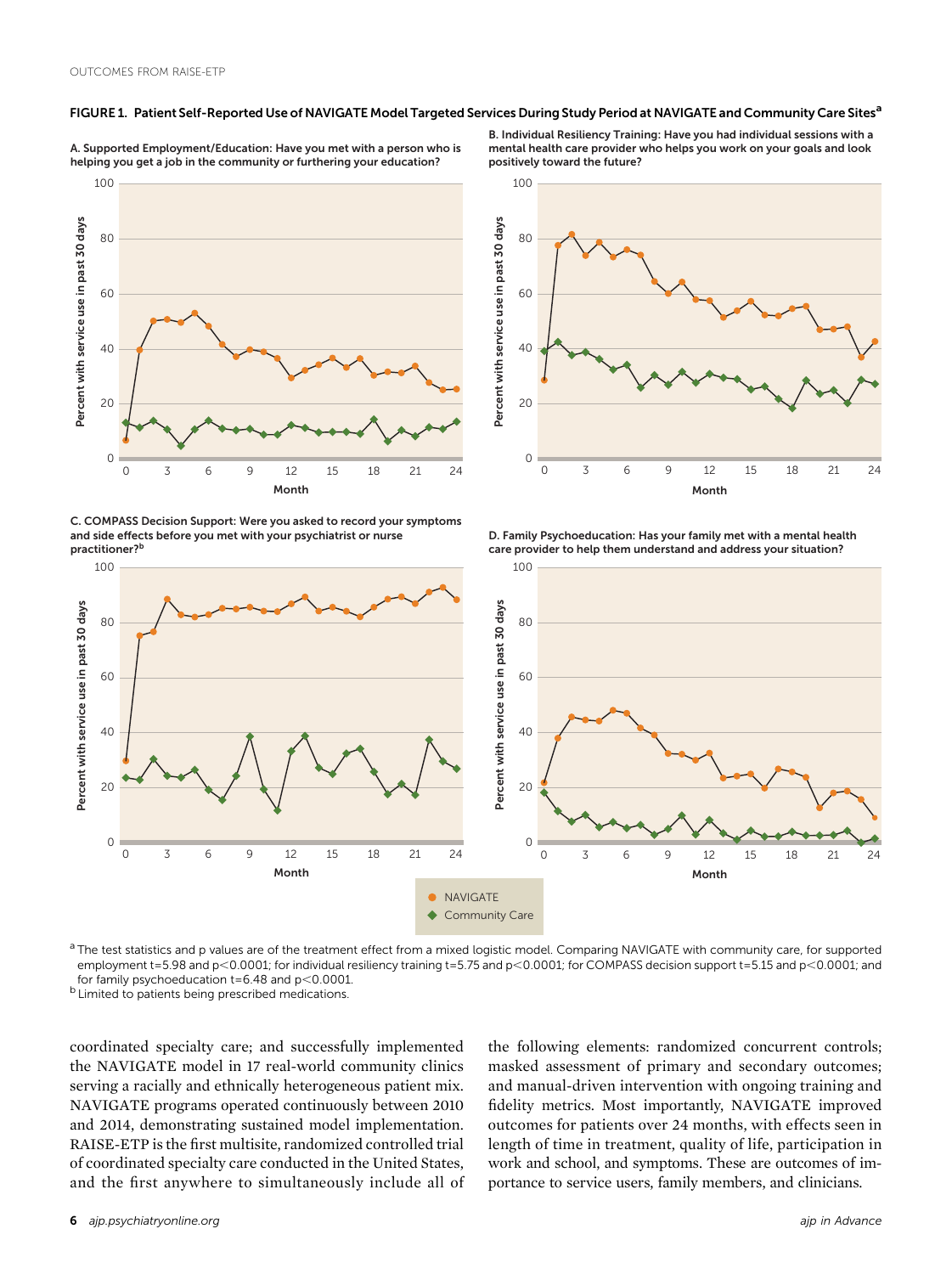#### FIGURE 1. Patient Self-Reported Use of NAVIGATE Model Targeted Services During Study Period at NAVIGATE and Community Care Sites<sup>a</sup>

**A. Supported Employment/Education: Have you met with a person who is helping you get a job in the community or furthering your education?**

**B. Individual Resiliency Training: Have you had individual sessions with a mental health care provider who helps you work on your goals and look positively toward the future?**



**and side effects before you met with your psychiatrist or nurse practitioner?b**



20

40

60

80

100

<sup>a</sup> The test statistics and p values are of the treatment effect from a mixed logistic model. Comparing NAVIGATE with community care, for supported employment t=5.98 and p<0.0001; for individual resiliency training t=5.75 and p<0.0001; for COMPASS decision support t=5.15 and p<0.0001; and

 $\bullet$ 

Community Care

for family psychoeducation t=6.48 and p $<$ 0.0001. b Limited to patients being prescribed medications.

coordinated specialty care; and successfully implemented the NAVIGATE model in 17 real-world community clinics serving a racially and ethnically heterogeneous patient mix. NAVIGATE programs operated continuously between 2010 and 2014, demonstrating sustained model implementation. RAISE-ETP is the first multisite, randomized controlled trial of coordinated specialty care conducted in the United States, and the first anywhere to simultaneously include all of the following elements: randomized concurrent controls; masked assessment of primary and secondary outcomes; and manual-driven intervention with ongoing training and fidelity metrics. Most importantly, NAVIGATE improved outcomes for patients over 24 months, with effects seen in length of time in treatment, quality of life, participation in work and school, and symptoms. These are outcomes of importance to service users, family members, and clinicians.

0

20

40

**Percent with service use in past 30 days**

Percent with service use in past 30 days

60

80

100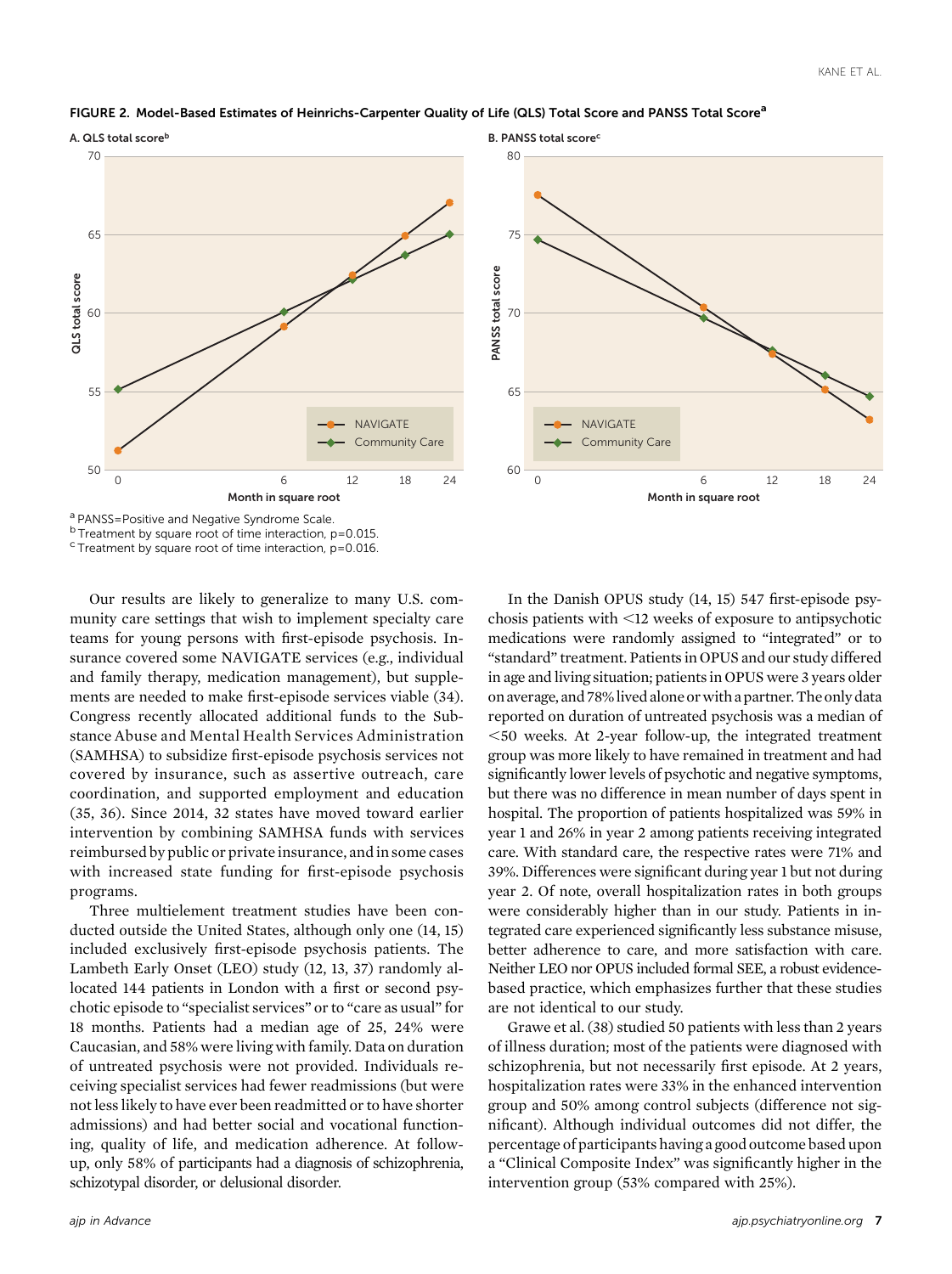



#### FIGURE 2. Model-Based Estimates of Heinrichs-Carpenter Quality of Life (QLS) Total Score and PANSS Total Score<sup>a</sup>

a PANSS=Positive and Negative Syndrome Scale.

<sup>b</sup> Treatment by square root of time interaction, p=0.015.

 $\textdegree$  Treatment by square root of time interaction, p=0.016.

Our results are likely to generalize to many U.S. community care settings that wish to implement specialty care teams for young persons with first-episode psychosis. Insurance covered some NAVIGATE services (e.g., individual and family therapy, medication management), but supplements are needed to make first-episode services viable (34). Congress recently allocated additional funds to the Substance Abuse and Mental Health Services Administration (SAMHSA) to subsidize first-episode psychosis services not covered by insurance, such as assertive outreach, care coordination, and supported employment and education (35, 36). Since 2014, 32 states have moved toward earlier intervention by combining SAMHSA funds with services reimbursed by public or private insurance, and in some cases with increased state funding for first-episode psychosis programs.

Three multielement treatment studies have been conducted outside the United States, although only one (14, 15) included exclusively first-episode psychosis patients. The Lambeth Early Onset (LEO) study (12, 13, 37) randomly allocated 144 patients in London with a first or second psychotic episode to "specialist services" or to "care as usual" for 18 months. Patients had a median age of 25, 24% were Caucasian, and 58% were living with family. Data on duration of untreated psychosis were not provided. Individuals receiving specialist services had fewer readmissions (but were not less likely to have ever been readmitted or to have shorter admissions) and had better social and vocational functioning, quality of life, and medication adherence. At followup, only 58% of participants had a diagnosis of schizophrenia, schizotypal disorder, or delusional disorder.

In the Danish OPUS study (14, 15) 547 first-episode psychosis patients with  $\leq$ 12 weeks of exposure to antipsychotic medications were randomly assigned to "integrated" or to "standard" treatment. Patients in OPUS and our study differed in age and living situation; patients in OPUS were 3 years older onaverage, and 78%lived alone orwitha partner.The only data reported on duration of untreated psychosis was a median of  $<$  50 weeks. At 2-year follow-up, the integrated treatment group was more likely to have remained in treatment and had significantly lower levels of psychotic and negative symptoms, but there was no difference in mean number of days spent in hospital. The proportion of patients hospitalized was 59% in year 1 and 26% in year 2 among patients receiving integrated care. With standard care, the respective rates were 71% and 39%. Differences were significant during year 1 but not during year 2. Of note, overall hospitalization rates in both groups were considerably higher than in our study. Patients in integrated care experienced significantly less substance misuse, better adherence to care, and more satisfaction with care. Neither LEO nor OPUS included formal SEE, a robust evidencebased practice, which emphasizes further that these studies are not identical to our study.

Grawe et al. (38) studied 50 patients with less than 2 years of illness duration; most of the patients were diagnosed with schizophrenia, but not necessarily first episode. At 2 years, hospitalization rates were 33% in the enhanced intervention group and 50% among control subjects (difference not significant). Although individual outcomes did not differ, the percentage of participants having a good outcome based upon a "Clinical Composite Index" was significantly higher in the intervention group (53% compared with 25%).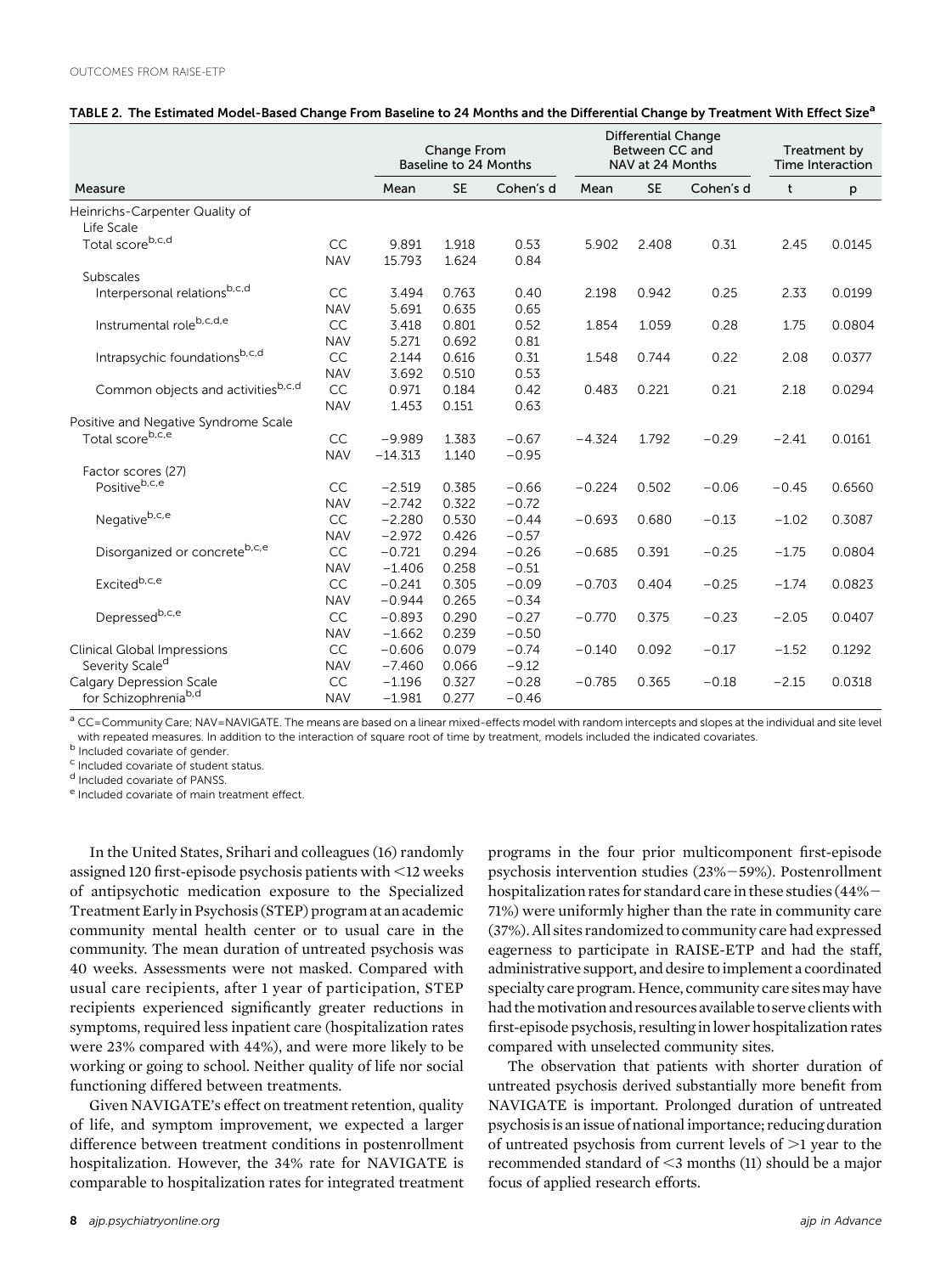|                                                         |                         | Change From<br>Baseline to 24 Months |                |                    | <b>Differential Change</b><br>Between CC and<br>NAV at 24 Months |           |         | Treatment by<br>Time Interaction |        |
|---------------------------------------------------------|-------------------------|--------------------------------------|----------------|--------------------|------------------------------------------------------------------|-----------|---------|----------------------------------|--------|
| Measure                                                 | Mean                    | <b>SE</b>                            | Cohen's d      | Mean               | <b>SE</b>                                                        | Cohen's d | t       | р                                |        |
| Heinrichs-Carpenter Quality of<br>Life Scale            |                         |                                      |                |                    |                                                                  |           |         |                                  |        |
| Total scoreb,c,d                                        | CC<br><b>NAV</b>        | 9.891<br>15.793                      | 1.918<br>1.624 | 0.53<br>0.84       | 5.902                                                            | 2.408     | 0.31    | 2.45                             | 0.0145 |
| <b>Subscales</b>                                        |                         |                                      |                |                    |                                                                  |           |         |                                  |        |
| Interpersonal relationsb,c,d                            | <b>CC</b><br><b>NAV</b> | 3.494<br>5.691                       | 0.763<br>0.635 | 0.40<br>0.65       | 2.198                                                            | 0.942     | 0.25    | 2.33                             | 0.0199 |
| Instrumental roleb,c,d,e                                | CC<br><b>NAV</b>        | 3.418<br>5.271                       | 0.801<br>0.692 | 0.52<br>0.81       | 1.854                                                            | 1.059     | 0.28    | 1.75                             | 0.0804 |
| Intrapsychic foundationsb,c,d                           | CC                      | 2.144                                | 0.616          | 0.31               | 1.548                                                            | 0.744     | 0.22    | 2.08                             | 0.0377 |
| Common objects and activitiesb,c,d                      | <b>NAV</b><br>CC        | 3.692<br>0.971                       | 0.510<br>0.184 | 0.53<br>0.42       | 0.483                                                            | 0.221     | 0.21    | 2.18                             | 0.0294 |
| Positive and Negative Syndrome Scale                    | <b>NAV</b>              | 1.453                                | 0.151          | 0.63               |                                                                  |           |         |                                  |        |
| Total scoreb,c,e                                        | CC                      | $-9.989$                             | 1.383          | $-0.67$            | $-4.324$                                                         | 1.792     | $-0.29$ | $-2.41$                          | 0.0161 |
|                                                         | <b>NAV</b>              | $-14.313$                            | 1.140          | $-0.95$            |                                                                  |           |         |                                  |        |
| Factor scores (27)                                      |                         |                                      |                |                    |                                                                  |           |         |                                  |        |
| Positiveb,c,e                                           | CC<br><b>NAV</b>        | $-2.519$<br>$-2.742$                 | 0.385<br>0.322 | $-0.66$<br>$-0.72$ | $-0.224$                                                         | 0.502     | $-0.06$ | $-0.45$                          | 0.6560 |
| Negativeb,c,e                                           | CC<br><b>NAV</b>        | $-2.280$<br>$-2.972$                 | 0.530<br>0.426 | $-0.44$<br>$-0.57$ | $-0.693$                                                         | 0.680     | $-0.13$ | $-1.02$                          | 0.3087 |
| Disorganized or concreteb,c,e                           | CC                      | $-0.721$                             | 0.294          | $-0.26$            | $-0.685$                                                         | 0.391     | $-0.25$ | $-1.75$                          | 0.0804 |
| Excitedb,c,e                                            | <b>NAV</b><br>CC        | $-1.406$<br>$-0.241$                 | 0.258<br>0.305 | $-0.51$<br>$-0.09$ | $-0.703$                                                         | 0.404     | $-0.25$ | $-1.74$                          | 0.0823 |
| Depressedb,c,e                                          | <b>NAV</b><br>CC        | $-0.944$<br>$-0.893$                 | 0.265<br>0.290 | $-0.34$<br>$-0.27$ | $-0.770$                                                         | 0.375     | $-0.23$ | $-2.05$                          | 0.0407 |
|                                                         | <b>NAV</b>              | $-1.662$                             | 0.239          | $-0.50$            |                                                                  |           |         |                                  |        |
| <b>Clinical Global Impressions</b>                      | CC                      | $-0.606$                             | 0.079          | $-0.74$            | $-0.140$                                                         | 0.092     | $-0.17$ | $-1.52$                          | 0.1292 |
| Severity Scale <sup>d</sup>                             | <b>NAV</b>              | $-7.460$                             | 0.066          | $-9.12$            |                                                                  |           |         |                                  |        |
| <b>Calgary Depression Scale</b><br>for Schizophreniab,d | CC<br><b>NAV</b>        | $-1.196$<br>$-1.981$                 | 0.327<br>0.277 | $-0.28$<br>$-0.46$ | $-0.785$                                                         | 0.365     | $-0.18$ | $-2.15$                          | 0.0318 |

|  |  |  | TABLE 2. The Estimated Model-Based Change From Baseline to 24 Months and the Differential Change by Treatment With Effect Size <sup>a</sup> |
|--|--|--|---------------------------------------------------------------------------------------------------------------------------------------------|
|  |  |  |                                                                                                                                             |

a CC=Community Care; NAV=NAVIGATE. The means are based on a linear mixed-effects model with random intercepts and slopes at the individual and site level with repeated measures. In addition to the interaction of square root of time by treatment, models included the indicated covariates.

b Included covariate of gender.

<sup>c</sup> Included covariate of student status.

d Included covariate of PANSS.

<sup>e</sup> Included covariate of main treatment effect.

In the United States, Srihari and colleagues (16) randomly assigned 120 first-episode psychosis patients with  $\leq$  12 weeks of antipsychotic medication exposure to the Specialized Treatment Earlyin Psychosis (STEP) program at an academic community mental health center or to usual care in the community. The mean duration of untreated psychosis was 40 weeks. Assessments were not masked. Compared with usual care recipients, after 1 year of participation, STEP recipients experienced significantly greater reductions in symptoms, required less inpatient care (hospitalization rates were 23% compared with 44%), and were more likely to be working or going to school. Neither quality of life nor social functioning differed between treatments.

Given NAVIGATE's effect on treatment retention, quality of life, and symptom improvement, we expected a larger difference between treatment conditions in postenrollment hospitalization. However, the 34% rate for NAVIGATE is comparable to hospitalization rates for integrated treatment

programs in the four prior multicomponent first-episode psychosis intervention studies (23%-59%). Postenrollment hospitalization rates for standard care in these studies  $(44\% -$ 71%) were uniformly higher than the rate in community care (37%). All sites randomized to community care had expressed eagerness to participate in RAISE-ETP and had the staff, administrative support, and desire to implement a coordinated specialty care program. Hence, community care sites may have had the motivation and resources available to serve clients with first-episode psychosis, resulting inlower hospitalization rates compared with unselected community sites.

The observation that patients with shorter duration of untreated psychosis derived substantially more benefit from NAVIGATE is important. Prolonged duration of untreated psychosisis an issue of national importance; reducing duration of untreated psychosis from current levels of  $>1$  year to the recommended standard of  $\leq$ 3 months (11) should be a major focus of applied research efforts.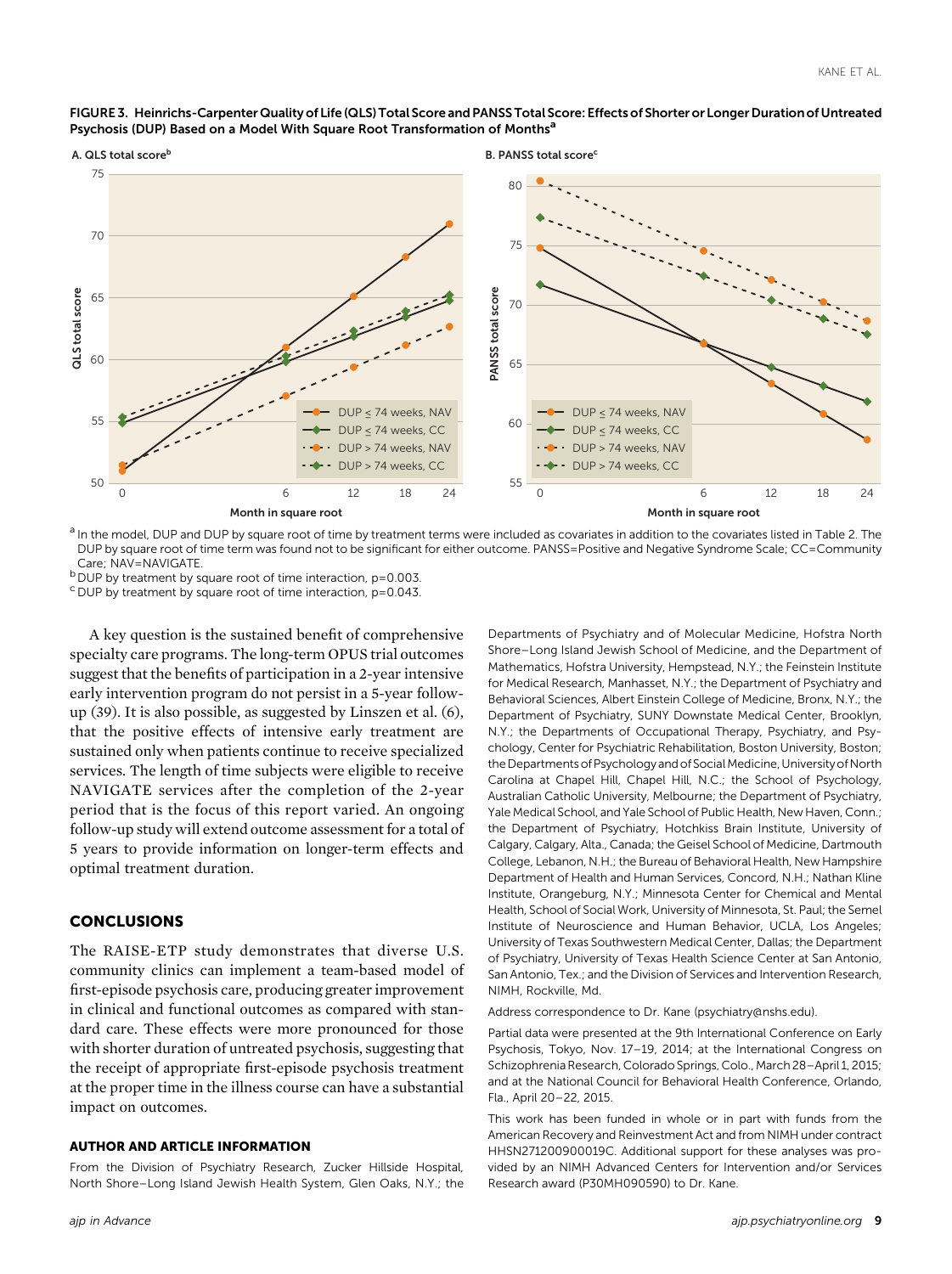

#### FIGURE 3. Heinrichs-Carpenter Quality of Life (QLS) Total Score and PANSS Total Score: Effects of Shorter or Longer Duration of Untreated Psychosis (DUP) Based on a Model With Square Root Transformation of Months<sup>a</sup>

a In the model, DUP and DUP by square root of time by treatment terms were included as covariates in addition to the covariates listed in Table 2. The DUP by square root of time term was found not to be significant for either outcome. PANSS=Positive and Negative Syndrome Scale; CC=Community Care; NAV=NAVIGATE.

 $b$  DUP by treatment by square root of time interaction, p=0.003.

 $\degree$  DUP by treatment by square root of time interaction, p=0.043.

A key question is the sustained benefit of comprehensive specialty care programs. The long-term OPUS trial outcomes suggest that the benefits of participation in a 2-year intensive early intervention program do not persist in a 5-year followup (39). It is also possible, as suggested by Linszen et al. (6), that the positive effects of intensive early treatment are sustained only when patients continue to receive specialized services. The length of time subjects were eligible to receive NAVIGATE services after the completion of the 2-year period that is the focus of this report varied. An ongoing follow-up study will extend outcome assessment for a total of 5 years to provide information on longer-term effects and optimal treatment duration.

### **CONCLUSIONS**

The RAISE-ETP study demonstrates that diverse U.S. community clinics can implement a team-based model of first-episode psychosis care, producing greater improvement in clinical and functional outcomes as compared with standard care. These effects were more pronounced for those with shorter duration of untreated psychosis, suggesting that the receipt of appropriate first-episode psychosis treatment at the proper time in the illness course can have a substantial impact on outcomes.

#### AUTHOR AND ARTICLE INFORMATION

From the Division of Psychiatry Research, Zucker Hillside Hospital, North Shore–Long Island Jewish Health System, Glen Oaks, N.Y.; the

Departments of Psychiatry and of Molecular Medicine, Hofstra North Shore–Long Island Jewish School of Medicine, and the Department of Mathematics, Hofstra University, Hempstead, N.Y.; the Feinstein Institute for Medical Research, Manhasset, N.Y.; the Department of Psychiatry and Behavioral Sciences, Albert Einstein College of Medicine, Bronx, N.Y.; the Department of Psychiatry, SUNY Downstate Medical Center, Brooklyn, N.Y.; the Departments of Occupational Therapy, Psychiatry, and Psychology, Center for Psychiatric Rehabilitation, Boston University, Boston; the Departments of Psychology and of Social Medicine, University of North Carolina at Chapel Hill, Chapel Hill, N.C.; the School of Psychology, Australian Catholic University, Melbourne; the Department of Psychiatry, Yale Medical School, and Yale School of Public Health, New Haven, Conn.; the Department of Psychiatry, Hotchkiss Brain Institute, University of Calgary, Calgary, Alta., Canada; the Geisel School of Medicine, Dartmouth College, Lebanon, N.H.; the Bureau of Behavioral Health, New Hampshire Department of Health and Human Services, Concord, N.H.; Nathan Kline Institute, Orangeburg, N.Y.; Minnesota Center for Chemical and Mental Health, School of Social Work, University of Minnesota, St. Paul; the Semel Institute of Neuroscience and Human Behavior, UCLA, Los Angeles; University of Texas Southwestern Medical Center, Dallas; the Department of Psychiatry, University of Texas Health Science Center at San Antonio, San Antonio, Tex.; and the Division of Services and Intervention Research, NIMH, Rockville, Md.

Address correspondence to Dr. Kane ([psychiatry@nshs.edu\)](mailto:psychiatry@nshs.edu).

Partial data were presented at the 9th International Conference on Early Psychosis, Tokyo, Nov. 17–19, 2014; at the International Congress on Schizophrenia Research, Colorado Springs, Colo., March 28–April 1, 2015; and at the National Council for Behavioral Health Conference, Orlando, Fla., April 20–22, 2015.

This work has been funded in whole or in part with funds from the American Recovery and Reinvestment Act and from NIMH under contract HHSN271200900019C. Additional support for these analyses was provided by an NIMH Advanced Centers for Intervention and/or Services Research award (P30MH090590) to Dr. Kane.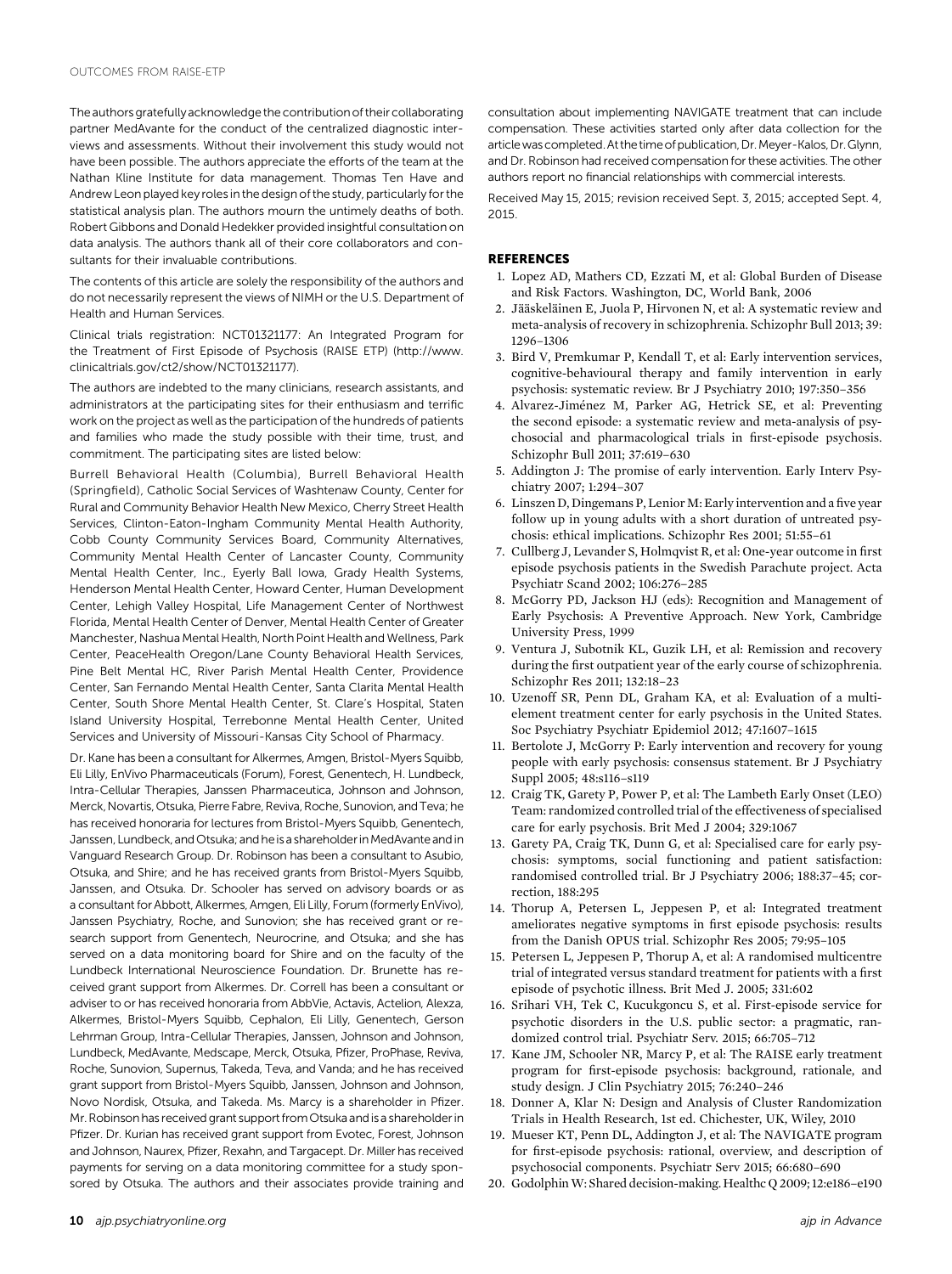The authors gratefully acknowledge the contribution of their collaborating partner MedAvante for the conduct of the centralized diagnostic interviews and assessments. Without their involvement this study would not have been possible. The authors appreciate the efforts of the team at the Nathan Kline Institute for data management. Thomas Ten Have and Andrew Leon played key roles in the design of the study, particularly for the statistical analysis plan. The authors mourn the untimely deaths of both. Robert Gibbons and Donald Hedekker provided insightful consultation on data analysis. The authors thank all of their core collaborators and consultants for their invaluable contributions.

The contents of this article are solely the responsibility of the authors and do not necessarily represent the views of NIMH or the U.S. Department of Health and Human Services.

Clinical trials registration: NCT01321177: An Integrated Program for the Treatment of First Episode of Psychosis (RAISE ETP) ([http://www.](http://www.clinicaltrials.gov/ct2/show/NCT01321177) [clinicaltrials.gov/ct2/show/NCT01321177\)](http://www.clinicaltrials.gov/ct2/show/NCT01321177).

The authors are indebted to the many clinicians, research assistants, and administrators at the participating sites for their enthusiasm and terrific work on the project as well as the participation of the hundreds of patients and families who made the study possible with their time, trust, and commitment. The participating sites are listed below:

Burrell Behavioral Health (Columbia), Burrell Behavioral Health (Springfield), Catholic Social Services of Washtenaw County, Center for Rural and Community Behavior Health New Mexico, Cherry Street Health Services, Clinton-Eaton-Ingham Community Mental Health Authority, Cobb County Community Services Board, Community Alternatives, Community Mental Health Center of Lancaster County, Community Mental Health Center, Inc., Eyerly Ball Iowa, Grady Health Systems, Henderson Mental Health Center, Howard Center, Human Development Center, Lehigh Valley Hospital, Life Management Center of Northwest Florida, Mental Health Center of Denver, Mental Health Center of Greater Manchester, Nashua Mental Health, North Point Health and Wellness, Park Center, PeaceHealth Oregon/Lane County Behavioral Health Services, Pine Belt Mental HC, River Parish Mental Health Center, Providence Center, San Fernando Mental Health Center, Santa Clarita Mental Health Center, South Shore Mental Health Center, St. Clare's Hospital, Staten Island University Hospital, Terrebonne Mental Health Center, United Services and University of Missouri-Kansas City School of Pharmacy.

Dr. Kane has been a consultant for Alkermes, Amgen, Bristol-Myers Squibb, Eli Lilly, EnVivo Pharmaceuticals (Forum), Forest, Genentech, H. Lundbeck, Intra-Cellular Therapies, Janssen Pharmaceutica, Johnson and Johnson, Merck, Novartis, Otsuka, Pierre Fabre, Reviva, Roche, Sunovion, and Teva; he has received honoraria for lectures from Bristol-Myers Squibb, Genentech, Janssen, Lundbeck, and Otsuka; and he is a shareholder inMedAvante and in Vanguard Research Group. Dr. Robinson has been a consultant to Asubio, Otsuka, and Shire; and he has received grants from Bristol-Myers Squibb, Janssen, and Otsuka. Dr. Schooler has served on advisory boards or as a consultant for Abbott, Alkermes, Amgen, Eli Lilly, Forum (formerly EnVivo), Janssen Psychiatry, Roche, and Sunovion; she has received grant or research support from Genentech, Neurocrine, and Otsuka; and she has served on a data monitoring board for Shire and on the faculty of the Lundbeck International Neuroscience Foundation. Dr. Brunette has received grant support from Alkermes. Dr. Correll has been a consultant or adviser to or has received honoraria from AbbVie, Actavis, Actelion, Alexza, Alkermes, Bristol-Myers Squibb, Cephalon, Eli Lilly, Genentech, Gerson Lehrman Group, Intra-Cellular Therapies, Janssen, Johnson and Johnson, Lundbeck, MedAvante, Medscape, Merck, Otsuka, Pfizer, ProPhase, Reviva, Roche, Sunovion, Supernus, Takeda, Teva, and Vanda; and he has received grant support from Bristol-Myers Squibb, Janssen, Johnson and Johnson, Novo Nordisk, Otsuka, and Takeda. Ms. Marcy is a shareholder in Pfizer. Mr. Robinson has received grant support fromOtsuka and is a shareholder in Pfizer. Dr. Kurian has received grant support from Evotec, Forest, Johnson and Johnson, Naurex, Pfizer, Rexahn, and Targacept. Dr. Miller has received payments for serving on a data monitoring committee for a study sponsored by Otsuka. The authors and their associates provide training and

Received May 15, 2015; revision received Sept. 3, 2015; accepted Sept. 4, 2015.

#### **REFERENCES**

- 1. Lopez AD, Mathers CD, Ezzati M, et al: Global Burden of Disease and Risk Factors. Washington, DC, World Bank, 2006
- 2. Jääskeläinen E, Juola P, Hirvonen N, et al: A systematic review and meta-analysis of recovery in schizophrenia. Schizophr Bull 2013; 39: 1296–1306
- 3. Bird V, Premkumar P, Kendall T, et al: Early intervention services, cognitive-behavioural therapy and family intervention in early psychosis: systematic review. Br J Psychiatry 2010; 197:350–356
- 4. Alvarez-Jiménez M, Parker AG, Hetrick SE, et al: Preventing the second episode: a systematic review and meta-analysis of psychosocial and pharmacological trials in first-episode psychosis. Schizophr Bull 2011; 37:619–630
- 5. Addington J: The promise of early intervention. Early Interv Psychiatry 2007; 1:294–307
- 6. Linszen D, Dingemans P, Lenior M: Early intervention and a five year follow up in young adults with a short duration of untreated psychosis: ethical implications. Schizophr Res 2001; 51:55–61
- 7. Cullberg J, Levander S, Holmqvist R, et al: One-year outcome in first episode psychosis patients in the Swedish Parachute project. Acta Psychiatr Scand 2002; 106:276–285
- 8. McGorry PD, Jackson HJ (eds): Recognition and Management of Early Psychosis: A Preventive Approach. New York, Cambridge University Press, 1999
- 9. Ventura J, Subotnik KL, Guzik LH, et al: Remission and recovery during the first outpatient year of the early course of schizophrenia. Schizophr Res 2011; 132:18–23
- 10. Uzenoff SR, Penn DL, Graham KA, et al: Evaluation of a multielement treatment center for early psychosis in the United States. Soc Psychiatry Psychiatr Epidemiol 2012; 47:1607–1615
- 11. Bertolote J, McGorry P: Early intervention and recovery for young people with early psychosis: consensus statement. Br J Psychiatry Suppl 2005; 48:s116–s119
- 12. Craig TK, Garety P, Power P, et al: The Lambeth Early Onset (LEO) Team: randomized controlled trial of the effectiveness of specialised care for early psychosis. Brit Med J 2004; 329:1067
- 13. Garety PA, Craig TK, Dunn G, et al: Specialised care for early psychosis: symptoms, social functioning and patient satisfaction: randomised controlled trial. Br J Psychiatry 2006; 188:37–45; correction, 188:295
- 14. Thorup A, Petersen L, Jeppesen P, et al: Integrated treatment ameliorates negative symptoms in first episode psychosis: results from the Danish OPUS trial. Schizophr Res 2005; 79:95–105
- 15. Petersen L, Jeppesen P, Thorup A, et al: A randomised multicentre trial of integrated versus standard treatment for patients with a first episode of psychotic illness. Brit Med J. 2005; 331:602
- 16. Srihari VH, Tek C, Kucukgoncu S, et al. First-episode service for psychotic disorders in the U.S. public sector: a pragmatic, randomized control trial. Psychiatr Serv. 2015; 66:705–712
- 17. Kane JM, Schooler NR, Marcy P, et al: The RAISE early treatment program for first-episode psychosis: background, rationale, and study design. J Clin Psychiatry 2015; 76:240–246
- 18. Donner A, Klar N: Design and Analysis of Cluster Randomization Trials in Health Research, 1st ed. Chichester, UK, Wiley, 2010
- 19. Mueser KT, Penn DL, Addington J, et al: The NAVIGATE program for first-episode psychosis: rational, overview, and description of psychosocial components. Psychiatr Serv 2015; 66:680–690
- 20. GodolphinW: Shared decision-making. Healthc Q 2009; 12:e186–e190